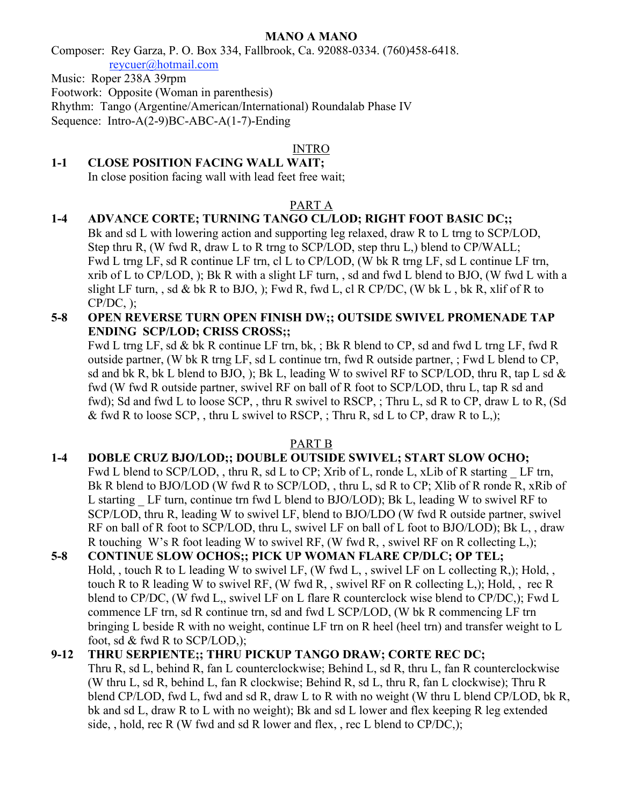### MANO A MANO

Composer: Rey Garza, P. O. Box 334, Fallbrook, Ca. 92088-0334. (760)458-6418.

reycuer@hotmail.com

Music: Roper 238A 39rpm

Footwork: Opposite (Woman in parenthesis)

Rhythm: Tango (Argentine/American/International) Roundalab Phase IV

Sequence: Intro-A(2-9)BC-ABC-A(1-7)-Ending

## INTRO

# 1-1 CLOSE POSITION FACING WALL WAIT;

In close position facing wall with lead feet free wait;

## PART A

## 1-4 ADVANCE CORTE; TURNING TANGO CL/LOD; RIGHT FOOT BASIC DC;;

Bk and sd L with lowering action and supporting leg relaxed, draw R to L trng to SCP/LOD, Step thru R, (W fwd R, draw L to R trng to SCP/LOD, step thru L,) blend to CP/WALL; Fwd L trng LF, sd R continue LF trn, cl L to CP/LOD, (W bk R trng LF, sd L continue LF trn, xrib of L to CP/LOD, ); Bk R with a slight LF turn, , sd and fwd L blend to BJO, (W fwd L with a slight LF turn, , sd & bk R to BJO, ); Fwd R, fwd L, cl R CP/DC, (W bk L, bk R, xlif of R to  $CP/DC$ , );

5-8 OPEN REVERSE TURN OPEN FINISH DW;; OUTSIDE SWIVEL PROMENADE TAP ENDING SCP/LOD; CRISS CROSS;;

Fwd L trng LF, sd & bk R continue LF trn, bk, ; Bk R blend to CP, sd and fwd L trng LF, fwd R outside partner, (W bk R trng LF, sd L continue trn, fwd R outside partner, ; Fwd L blend to CP, sd and bk R, bk L blend to BJO, ); Bk L, leading W to swivel RF to SCP/LOD, thru R, tap L sd  $\&$ fwd (W fwd R outside partner, swivel RF on ball of R foot to SCP/LOD, thru L, tap R sd and fwd); Sd and fwd L to loose SCP, , thru R swivel to RSCP, ; Thru L, sd R to CP, draw L to R, (Sd & fwd R to loose SCP, , thru L swivel to RSCP, ; Thru R, sd L to CP, draw R to L,);

#### PART B

# 1-4 DOBLE CRUZ BJO/LOD;; DOUBLE OUTSIDE SWIVEL; START SLOW OCHO;

Fwd L blend to SCP/LOD, , thru R, sd L to CP; Xrib of L, ronde L, xLib of R starting LF trn, Bk R blend to BJO/LOD (W fwd R to SCP/LOD, thru L, sd R to CP; Xlib of R ronde R, xRib of L starting LF turn, continue trn fwd L blend to BJO/LOD); Bk L, leading W to swivel RF to SCP/LOD, thru R, leading W to swivel LF, blend to BJO/LDO (W fwd R outside partner, swivel RF on ball of R foot to SCP/LOD, thru L, swivel LF on ball of L foot to BJO/LOD); Bk L, , draw R touching W's R foot leading W to swivel RF, (W fwd R, , swivel RF on R collecting L,);

5-8 CONTINUE SLOW OCHOS;; PICK UP WOMAN FLARE CP/DLC; OP TEL; Hold, , touch R to L leading W to swivel LF, (W fwd L, , swivel LF on L collecting R,); Hold, , touch R to R leading W to swivel RF, (W fwd R, , swivel RF on R collecting L,); Hold, , rec R blend to CP/DC, (W fwd L,, swivel LF on L flare R counterclock wise blend to CP/DC,); Fwd L commence LF trn, sd R continue trn, sd and fwd L SCP/LOD, (W bk R commencing LF trn bringing L beside R with no weight, continue LF trn on R heel (heel trn) and transfer weight to L foot, sd & fwd R to SCP/LOD,);

### 9-12 THRU SERPIENTE;; THRU PICKUP TANGO DRAW; CORTE REC DC; Thru R, sd L, behind R, fan L counterclockwise; Behind L, sd R, thru L, fan R counterclockwise (W thru L, sd R, behind L, fan R clockwise; Behind R, sd L, thru R, fan L clockwise); Thru R blend CP/LOD, fwd L, fwd and sd R, draw L to R with no weight (W thru L blend CP/LOD, bk R, bk and sd L, draw R to L with no weight); Bk and sd L lower and flex keeping R leg extended side, , hold, rec R (W fwd and sd R lower and flex, , rec L blend to CP/DC,);